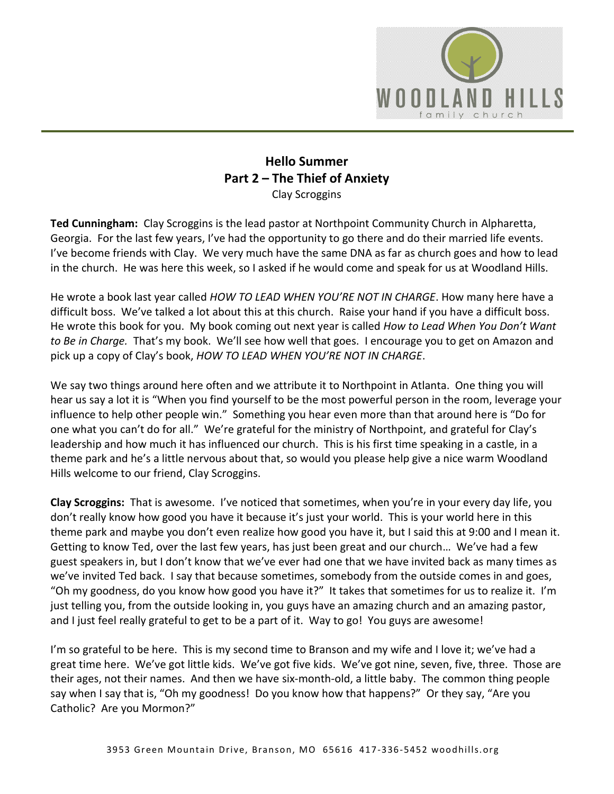

## **Hello Summer Part 2 – The Thief of Anxiety** Clay Scroggins

**Ted Cunningham:** Clay Scroggins is the lead pastor at Northpoint Community Church in Alpharetta, Georgia. For the last few years, I've had the opportunity to go there and do their married life events. I've become friends with Clay. We very much have the same DNA as far as church goes and how to lead in the church. He was here this week, so I asked if he would come and speak for us at Woodland Hills.

He wrote a book last year called *HOW TO LEAD WHEN YOU'RE NOT IN CHARGE*. How many here have a difficult boss. We've talked a lot about this at this church. Raise your hand if you have a difficult boss. He wrote this book for you. My book coming out next year is called *How to Lead When You Don't Want to Be in Charge.* That's my book. We'll see how well that goes. I encourage you to get on Amazon and pick up a copy of Clay's book, *HOW TO LEAD WHEN YOU'RE NOT IN CHARGE*.

We say two things around here often and we attribute it to Northpoint in Atlanta. One thing you will hear us say a lot it is "When you find yourself to be the most powerful person in the room, leverage your influence to help other people win." Something you hear even more than that around here is "Do for one what you can't do for all." We're grateful for the ministry of Northpoint, and grateful for Clay's leadership and how much it has influenced our church. This is his first time speaking in a castle, in a theme park and he's a little nervous about that, so would you please help give a nice warm Woodland Hills welcome to our friend, Clay Scroggins.

**Clay Scroggins:** That is awesome. I've noticed that sometimes, when you're in your every day life, you don't really know how good you have it because it's just your world. This is your world here in this theme park and maybe you don't even realize how good you have it, but I said this at 9:00 and I mean it. Getting to know Ted, over the last few years, has just been great and our church… We've had a few guest speakers in, but I don't know that we've ever had one that we have invited back as many times as we've invited Ted back. I say that because sometimes, somebody from the outside comes in and goes, "Oh my goodness, do you know how good you have it?" It takes that sometimes for us to realize it. I'm just telling you, from the outside looking in, you guys have an amazing church and an amazing pastor, and I just feel really grateful to get to be a part of it. Way to go! You guys are awesome!

I'm so grateful to be here. This is my second time to Branson and my wife and I love it; we've had a great time here. We've got little kids. We've got five kids. We've got nine, seven, five, three. Those are their ages, not their names. And then we have six-month-old, a little baby. The common thing people say when I say that is, "Oh my goodness! Do you know how that happens?" Or they say, "Are you Catholic? Are you Mormon?"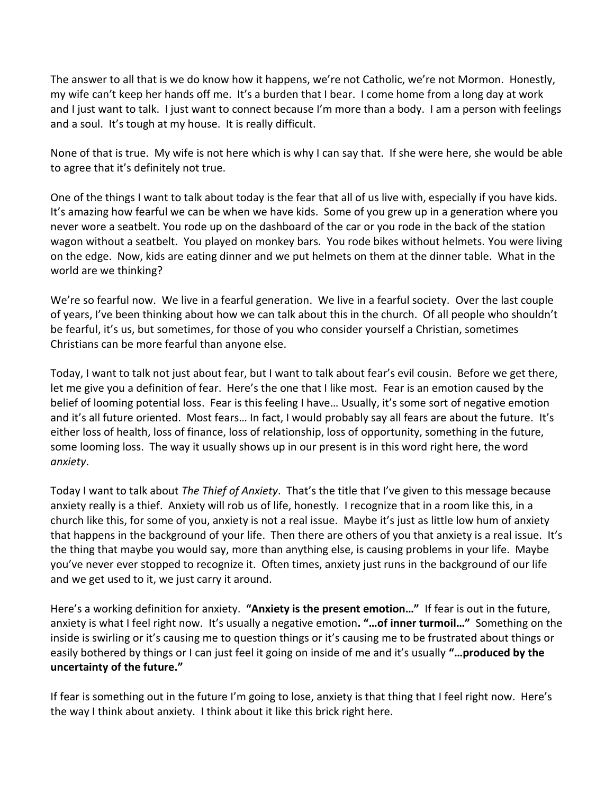The answer to all that is we do know how it happens, we're not Catholic, we're not Mormon. Honestly, my wife can't keep her hands off me. It's a burden that I bear. I come home from a long day at work and I just want to talk. I just want to connect because I'm more than a body. I am a person with feelings and a soul. It's tough at my house. It is really difficult.

None of that is true. My wife is not here which is why I can say that. If she were here, she would be able to agree that it's definitely not true.

One of the things I want to talk about today is the fear that all of us live with, especially if you have kids. It's amazing how fearful we can be when we have kids. Some of you grew up in a generation where you never wore a seatbelt. You rode up on the dashboard of the car or you rode in the back of the station wagon without a seatbelt. You played on monkey bars. You rode bikes without helmets. You were living on the edge. Now, kids are eating dinner and we put helmets on them at the dinner table. What in the world are we thinking?

We're so fearful now. We live in a fearful generation. We live in a fearful society. Over the last couple of years, I've been thinking about how we can talk about this in the church. Of all people who shouldn't be fearful, it's us, but sometimes, for those of you who consider yourself a Christian, sometimes Christians can be more fearful than anyone else.

Today, I want to talk not just about fear, but I want to talk about fear's evil cousin. Before we get there, let me give you a definition of fear. Here's the one that I like most. Fear is an emotion caused by the belief of looming potential loss. Fear is this feeling I have… Usually, it's some sort of negative emotion and it's all future oriented. Most fears… In fact, I would probably say all fears are about the future. It's either loss of health, loss of finance, loss of relationship, loss of opportunity, something in the future, some looming loss. The way it usually shows up in our present is in this word right here, the word *anxiety*.

Today I want to talk about *The Thief of Anxiety*. That's the title that I've given to this message because anxiety really is a thief. Anxiety will rob us of life, honestly. I recognize that in a room like this, in a church like this, for some of you, anxiety is not a real issue. Maybe it's just as little low hum of anxiety that happens in the background of your life. Then there are others of you that anxiety is a real issue. It's the thing that maybe you would say, more than anything else, is causing problems in your life. Maybe you've never ever stopped to recognize it. Often times, anxiety just runs in the background of our life and we get used to it, we just carry it around.

Here's a working definition for anxiety. **"Anxiety is the present emotion…"** If fear is out in the future, anxiety is what I feel right now. It's usually a negative emotion**. "…of inner turmoil…"** Something on the inside is swirling or it's causing me to question things or it's causing me to be frustrated about things or easily bothered by things or I can just feel it going on inside of me and it's usually **"…produced by the uncertainty of the future."**

If fear is something out in the future I'm going to lose, anxiety is that thing that I feel right now. Here's the way I think about anxiety. I think about it like this brick right here.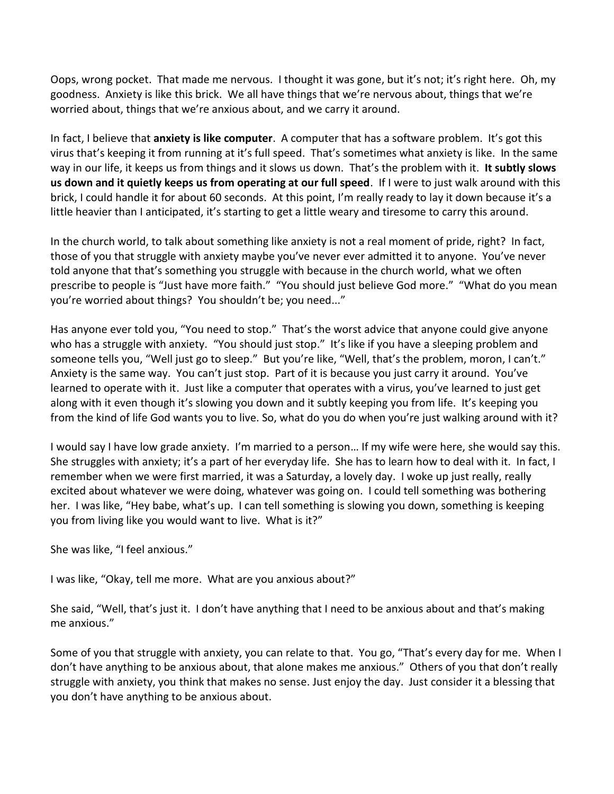Oops, wrong pocket. That made me nervous. I thought it was gone, but it's not; it's right here. Oh, my goodness. Anxiety is like this brick. We all have things that we're nervous about, things that we're worried about, things that we're anxious about, and we carry it around.

In fact, I believe that **anxiety is like computer**. A computer that has a software problem. It's got this virus that's keeping it from running at it's full speed. That's sometimes what anxiety is like. In the same way in our life, it keeps us from things and it slows us down. That's the problem with it. **It subtly slows us down and it quietly keeps us from operating at our full speed**. If I were to just walk around with this brick, I could handle it for about 60 seconds. At this point, I'm really ready to lay it down because it's a little heavier than I anticipated, it's starting to get a little weary and tiresome to carry this around.

In the church world, to talk about something like anxiety is not a real moment of pride, right? In fact, those of you that struggle with anxiety maybe you've never ever admitted it to anyone. You've never told anyone that that's something you struggle with because in the church world, what we often prescribe to people is "Just have more faith." "You should just believe God more." "What do you mean you're worried about things? You shouldn't be; you need..."

Has anyone ever told you, "You need to stop." That's the worst advice that anyone could give anyone who has a struggle with anxiety. "You should just stop." It's like if you have a sleeping problem and someone tells you, "Well just go to sleep." But you're like, "Well, that's the problem, moron, I can't." Anxiety is the same way. You can't just stop. Part of it is because you just carry it around. You've learned to operate with it. Just like a computer that operates with a virus, you've learned to just get along with it even though it's slowing you down and it subtly keeping you from life. It's keeping you from the kind of life God wants you to live. So, what do you do when you're just walking around with it?

I would say I have low grade anxiety. I'm married to a person… If my wife were here, she would say this. She struggles with anxiety; it's a part of her everyday life. She has to learn how to deal with it. In fact, I remember when we were first married, it was a Saturday, a lovely day. I woke up just really, really excited about whatever we were doing, whatever was going on. I could tell something was bothering her. I was like, "Hey babe, what's up. I can tell something is slowing you down, something is keeping you from living like you would want to live. What is it?"

She was like, "I feel anxious."

I was like, "Okay, tell me more. What are you anxious about?"

She said, "Well, that's just it. I don't have anything that I need to be anxious about and that's making me anxious."

Some of you that struggle with anxiety, you can relate to that. You go, "That's every day for me. When I don't have anything to be anxious about, that alone makes me anxious." Others of you that don't really struggle with anxiety, you think that makes no sense. Just enjoy the day. Just consider it a blessing that you don't have anything to be anxious about.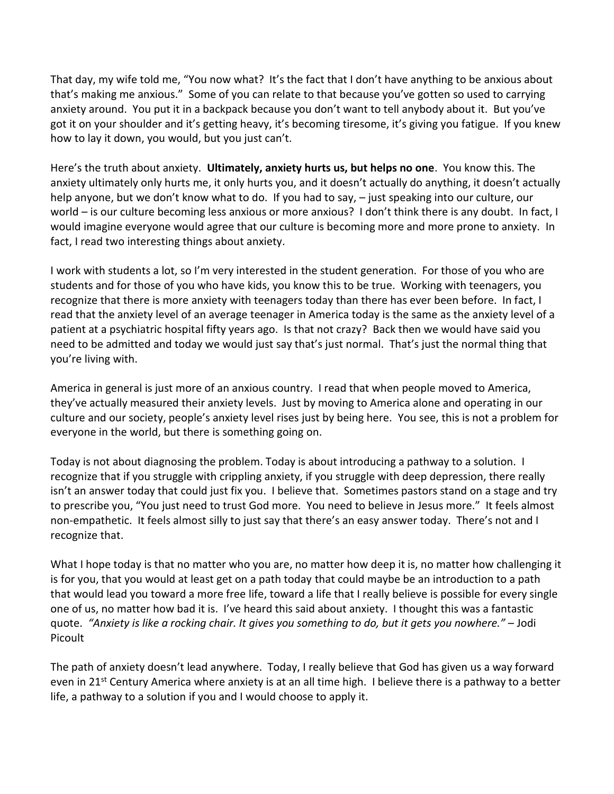That day, my wife told me, "You now what? It's the fact that I don't have anything to be anxious about that's making me anxious." Some of you can relate to that because you've gotten so used to carrying anxiety around. You put it in a backpack because you don't want to tell anybody about it. But you've got it on your shoulder and it's getting heavy, it's becoming tiresome, it's giving you fatigue. If you knew how to lay it down, you would, but you just can't.

Here's the truth about anxiety. **Ultimately, anxiety hurts us, but helps no one**. You know this. The anxiety ultimately only hurts me, it only hurts you, and it doesn't actually do anything, it doesn't actually help anyone, but we don't know what to do. If you had to say,  $-$  just speaking into our culture, our world – is our culture becoming less anxious or more anxious? I don't think there is any doubt. In fact, I would imagine everyone would agree that our culture is becoming more and more prone to anxiety. In fact, I read two interesting things about anxiety.

I work with students a lot, so I'm very interested in the student generation. For those of you who are students and for those of you who have kids, you know this to be true. Working with teenagers, you recognize that there is more anxiety with teenagers today than there has ever been before. In fact, I read that the anxiety level of an average teenager in America today is the same as the anxiety level of a patient at a psychiatric hospital fifty years ago. Is that not crazy? Back then we would have said you need to be admitted and today we would just say that's just normal. That's just the normal thing that you're living with.

America in general is just more of an anxious country. I read that when people moved to America, they've actually measured their anxiety levels. Just by moving to America alone and operating in our culture and our society, people's anxiety level rises just by being here. You see, this is not a problem for everyone in the world, but there is something going on.

Today is not about diagnosing the problem. Today is about introducing a pathway to a solution. I recognize that if you struggle with crippling anxiety, if you struggle with deep depression, there really isn't an answer today that could just fix you. I believe that. Sometimes pastors stand on a stage and try to prescribe you, "You just need to trust God more. You need to believe in Jesus more." It feels almost non-empathetic. It feels almost silly to just say that there's an easy answer today. There's not and I recognize that.

What I hope today is that no matter who you are, no matter how deep it is, no matter how challenging it is for you, that you would at least get on a path today that could maybe be an introduction to a path that would lead you toward a more free life, toward a life that I really believe is possible for every single one of us, no matter how bad it is. I've heard this said about anxiety. I thought this was a fantastic quote. *"Anxiety is like a rocking chair. It gives you something to do, but it gets you nowhere."* – Jodi Picoult

The path of anxiety doesn't lead anywhere. Today, I really believe that God has given us a way forward even in 21<sup>st</sup> Century America where anxiety is at an all time high. I believe there is a pathway to a better life, a pathway to a solution if you and I would choose to apply it.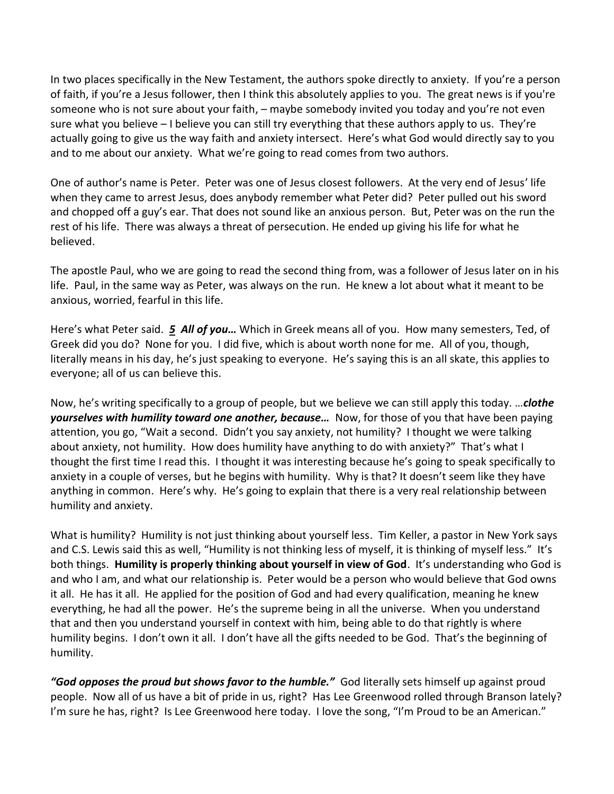In two places specifically in the New Testament, the authors spoke directly to anxiety. If you're a person of faith, if you're a Jesus follower, then I think this absolutely applies to you. The great news is if you're someone who is not sure about your faith, – maybe somebody invited you today and you're not even sure what you believe – I believe you can still try everything that these authors apply to us. They're actually going to give us the way faith and anxiety intersect. Here's what God would directly say to you and to me about our anxiety. What we're going to read comes from two authors.

One of author's name is Peter. Peter was one of Jesus closest followers. At the very end of Jesus' life when they came to arrest Jesus, does anybody remember what Peter did? Peter pulled out his sword and chopped off a guy's ear. That does not sound like an anxious person. But, Peter was on the run the rest of his life. There was always a threat of persecution. He ended up giving his life for what he believed.

The apostle Paul, who we are going to read the second thing from, was a follower of Jesus later on in his life. Paul, in the same way as Peter, was always on the run. He knew a lot about what it meant to be anxious, worried, fearful in this life.

Here's what Peter said. *[5](https://www.studylight.org/desk/?q=1pe%205:5&t1=en_niv&sr=1) All of you…* Which in Greek means all of you. How many semesters, Ted, of Greek did you do? None for you. I did five, which is about worth none for me. All of you, though, literally means in his day, he's just speaking to everyone. He's saying this is an all skate, this applies to everyone; all of us can believe this.

Now, he's writing specifically to a group of people, but we believe we can still apply this today. …*clothe yourselves with humility toward one another, because…* Now, for those of you that have been paying attention, you go, "Wait a second. Didn't you say anxiety, not humility? I thought we were talking about anxiety, not humility. How does humility have anything to do with anxiety?" That's what I thought the first time I read this. I thought it was interesting because he's going to speak specifically to anxiety in a couple of verses, but he begins with humility. Why is that? It doesn't seem like they have anything in common. Here's why. He's going to explain that there is a very real relationship between humility and anxiety.

What is humility? Humility is not just thinking about yourself less. Tim Keller, a pastor in New York says and C.S. Lewis said this as well, "Humility is not thinking less of myself, it is thinking of myself less." It's both things. **Humility is properly thinking about yourself in view of God**. It's understanding who God is and who I am, and what our relationship is. Peter would be a person who would believe that God owns it all. He has it all. He applied for the position of God and had every qualification, meaning he knew everything, he had all the power. He's the supreme being in all the universe. When you understand that and then you understand yourself in context with him, being able to do that rightly is where humility begins. I don't own it all. I don't have all the gifts needed to be God. That's the beginning of humility.

*"God opposes the proud but shows favor to the humble."* God literally sets himself up against proud people. Now all of us have a bit of pride in us, right? Has Lee Greenwood rolled through Branson lately? I'm sure he has, right? Is Lee Greenwood here today. I love the song, "I'm Proud to be an American."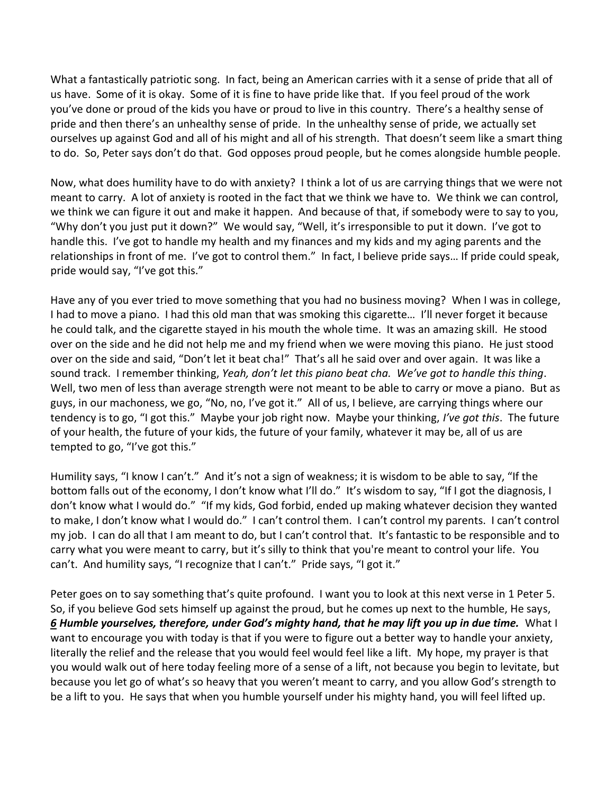What a fantastically patriotic song. In fact, being an American carries with it a sense of pride that all of us have. Some of it is okay. Some of it is fine to have pride like that. If you feel proud of the work you've done or proud of the kids you have or proud to live in this country. There's a healthy sense of pride and then there's an unhealthy sense of pride. In the unhealthy sense of pride, we actually set ourselves up against God and all of his might and all of his strength. That doesn't seem like a smart thing to do. So, Peter says don't do that. God opposes proud people, but he comes alongside humble people.

Now, what does humility have to do with anxiety? I think a lot of us are carrying things that we were not meant to carry. A lot of anxiety is rooted in the fact that we think we have to. We think we can control, we think we can figure it out and make it happen. And because of that, if somebody were to say to you, "Why don't you just put it down?" We would say, "Well, it's irresponsible to put it down. I've got to handle this. I've got to handle my health and my finances and my kids and my aging parents and the relationships in front of me. I've got to control them." In fact, I believe pride says… If pride could speak, pride would say, "I've got this."

Have any of you ever tried to move something that you had no business moving? When I was in college, I had to move a piano. I had this old man that was smoking this cigarette… I'll never forget it because he could talk, and the cigarette stayed in his mouth the whole time. It was an amazing skill. He stood over on the side and he did not help me and my friend when we were moving this piano. He just stood over on the side and said, "Don't let it beat cha!" That's all he said over and over again. It was like a sound track. I remember thinking, *Yeah, don't let this piano beat cha. We've got to handle this thing*. Well, two men of less than average strength were not meant to be able to carry or move a piano. But as guys, in our machoness, we go, "No, no, I've got it." All of us, I believe, are carrying things where our tendency is to go, "I got this." Maybe your job right now. Maybe your thinking, *I've got this*. The future of your health, the future of your kids, the future of your family, whatever it may be, all of us are tempted to go, "I've got this."

Humility says, "I know I can't." And it's not a sign of weakness; it is wisdom to be able to say, "If the bottom falls out of the economy, I don't know what I'll do." It's wisdom to say, "If I got the diagnosis, I don't know what I would do." "If my kids, God forbid, ended up making whatever decision they wanted to make, I don't know what I would do." I can't control them. I can't control my parents. I can't control my job. I can do all that I am meant to do, but I can't control that. It's fantastic to be responsible and to carry what you were meant to carry, but it's silly to think that you're meant to control your life. You can't. And humility says, "I recognize that I can't." Pride says, "I got it."

Peter goes on to say something that's quite profound. I want you to look at this next verse in 1 Peter 5. So, if you believe God sets himself up against the proud, but he comes up next to the humble, He says, *[6](https://www.studylight.org/desk/?q=1pe%205:6&t1=en_niv&sr=1) Humble yourselves, therefore, under God's mighty hand, that he may lift you up in due time.* What I want to encourage you with today is that if you were to figure out a better way to handle your anxiety, literally the relief and the release that you would feel would feel like a lift. My hope, my prayer is that you would walk out of here today feeling more of a sense of a lift, not because you begin to levitate, but because you let go of what's so heavy that you weren't meant to carry, and you allow God's strength to be a lift to you. He says that when you humble yourself under his mighty hand, you will feel lifted up.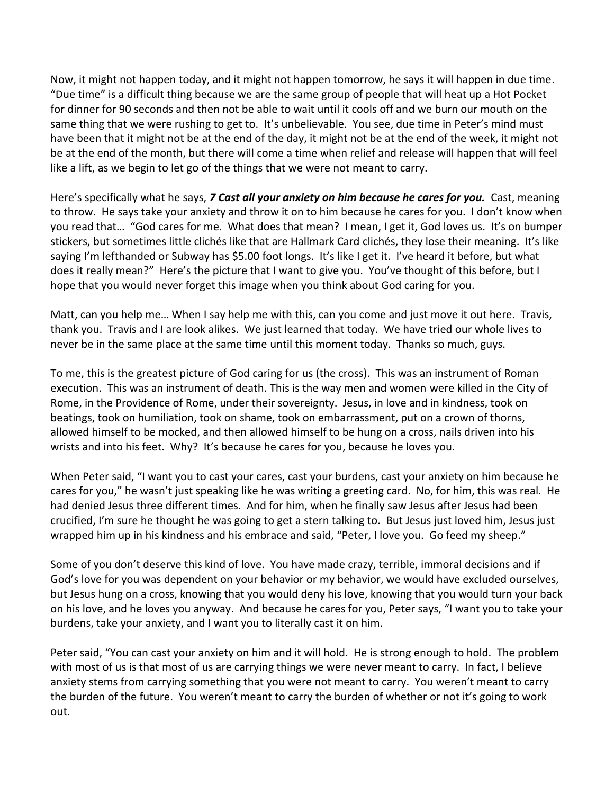Now, it might not happen today, and it might not happen tomorrow, he says it will happen in due time. "Due time" is a difficult thing because we are the same group of people that will heat up a Hot Pocket for dinner for 90 seconds and then not be able to wait until it cools off and we burn our mouth on the same thing that we were rushing to get to. It's unbelievable. You see, due time in Peter's mind must have been that it might not be at the end of the day, it might not be at the end of the week, it might not be at the end of the month, but there will come a time when relief and release will happen that will feel like a lift, as we begin to let go of the things that we were not meant to carry.

Here's specifically what he says, *[7](https://www.studylight.org/desk/?q=1pe%205:7&t1=en_niv&sr=1) Cast all your anxiety on him because he cares for you.* Cast, meaning to throw. He says take your anxiety and throw it on to him because he cares for you. I don't know when you read that… "God cares for me. What does that mean? I mean, I get it, God loves us. It's on bumper stickers, but sometimes little clichés like that are Hallmark Card clichés, they lose their meaning. It's like saying I'm lefthanded or Subway has \$5.00 foot longs. It's like I get it. I've heard it before, but what does it really mean?" Here's the picture that I want to give you. You've thought of this before, but I hope that you would never forget this image when you think about God caring for you.

Matt, can you help me… When I say help me with this, can you come and just move it out here. Travis, thank you. Travis and I are look alikes. We just learned that today. We have tried our whole lives to never be in the same place at the same time until this moment today. Thanks so much, guys.

To me, this is the greatest picture of God caring for us (the cross). This was an instrument of Roman execution. This was an instrument of death. This is the way men and women were killed in the City of Rome, in the Providence of Rome, under their sovereignty. Jesus, in love and in kindness, took on beatings, took on humiliation, took on shame, took on embarrassment, put on a crown of thorns, allowed himself to be mocked, and then allowed himself to be hung on a cross, nails driven into his wrists and into his feet. Why? It's because he cares for you, because he loves you.

When Peter said, "I want you to cast your cares, cast your burdens, cast your anxiety on him because he cares for you," he wasn't just speaking like he was writing a greeting card. No, for him, this was real. He had denied Jesus three different times. And for him, when he finally saw Jesus after Jesus had been crucified, I'm sure he thought he was going to get a stern talking to. But Jesus just loved him, Jesus just wrapped him up in his kindness and his embrace and said, "Peter, I love you. Go feed my sheep."

Some of you don't deserve this kind of love. You have made crazy, terrible, immoral decisions and if God's love for you was dependent on your behavior or my behavior, we would have excluded ourselves, but Jesus hung on a cross, knowing that you would deny his love, knowing that you would turn your back on his love, and he loves you anyway. And because he cares for you, Peter says, "I want you to take your burdens, take your anxiety, and I want you to literally cast it on him.

Peter said, "You can cast your anxiety on him and it will hold. He is strong enough to hold. The problem with most of us is that most of us are carrying things we were never meant to carry. In fact, I believe anxiety stems from carrying something that you were not meant to carry. You weren't meant to carry the burden of the future. You weren't meant to carry the burden of whether or not it's going to work out.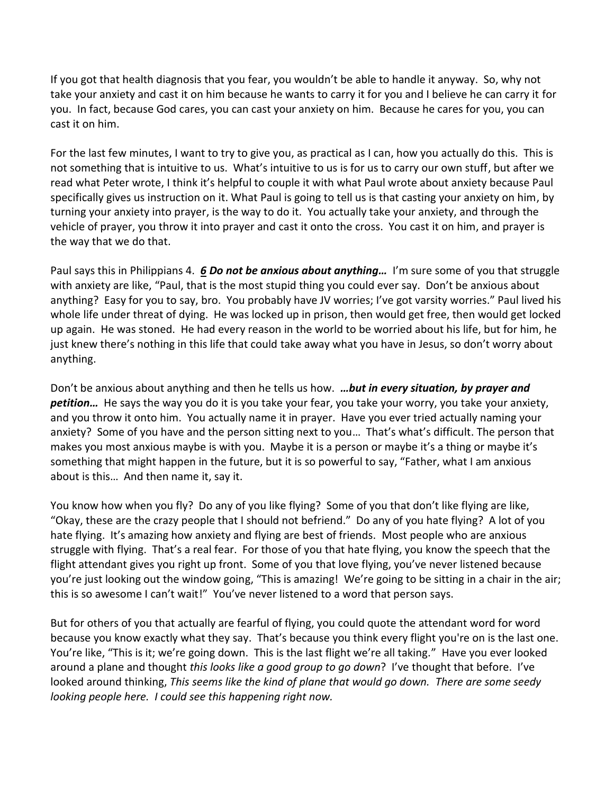If you got that health diagnosis that you fear, you wouldn't be able to handle it anyway. So, why not take your anxiety and cast it on him because he wants to carry it for you and I believe he can carry it for you. In fact, because God cares, you can cast your anxiety on him. Because he cares for you, you can cast it on him.

For the last few minutes, I want to try to give you, as practical as I can, how you actually do this. This is not something that is intuitive to us. What's intuitive to us is for us to carry our own stuff, but after we read what Peter wrote, I think it's helpful to couple it with what Paul wrote about anxiety because Paul specifically gives us instruction on it. What Paul is going to tell us is that casting your anxiety on him, by turning your anxiety into prayer, is the way to do it. You actually take your anxiety, and through the vehicle of prayer, you throw it into prayer and cast it onto the cross. You cast it on him, and prayer is the way that we do that.

Paul says this in Philippians 4. *[6](https://www.studylight.org/desk/?q=php%204:6&t1=en_niv&sr=1) Do not be anxious about anything…* I'm sure some of you that struggle with anxiety are like, "Paul, that is the most stupid thing you could ever say. Don't be anxious about anything? Easy for you to say, bro. You probably have JV worries; I've got varsity worries." Paul lived his whole life under threat of dying. He was locked up in prison, then would get free, then would get locked up again. He was stoned. He had every reason in the world to be worried about his life, but for him, he just knew there's nothing in this life that could take away what you have in Jesus, so don't worry about anything.

Don't be anxious about anything and then he tells us how. *…but in every situation, by prayer and petition…* He says the way you do it is you take your fear, you take your worry, you take your anxiety, and you throw it onto him. You actually name it in prayer. Have you ever tried actually naming your anxiety? Some of you have and the person sitting next to you… That's what's difficult. The person that makes you most anxious maybe is with you. Maybe it is a person or maybe it's a thing or maybe it's something that might happen in the future, but it is so powerful to say, "Father, what I am anxious about is this… And then name it, say it.

You know how when you fly? Do any of you like flying? Some of you that don't like flying are like, "Okay, these are the crazy people that I should not befriend." Do any of you hate flying? A lot of you hate flying. It's amazing how anxiety and flying are best of friends. Most people who are anxious struggle with flying. That's a real fear. For those of you that hate flying, you know the speech that the flight attendant gives you right up front. Some of you that love flying, you've never listened because you're just looking out the window going, "This is amazing! We're going to be sitting in a chair in the air; this is so awesome I can't wait!" You've never listened to a word that person says.

But for others of you that actually are fearful of flying, you could quote the attendant word for word because you know exactly what they say. That's because you think every flight you're on is the last one. You're like, "This is it; we're going down. This is the last flight we're all taking." Have you ever looked around a plane and thought *this looks like a good group to go down*? I've thought that before. I've looked around thinking, *This seems like the kind of plane that would go down. There are some seedy looking people here. I could see this happening right now.*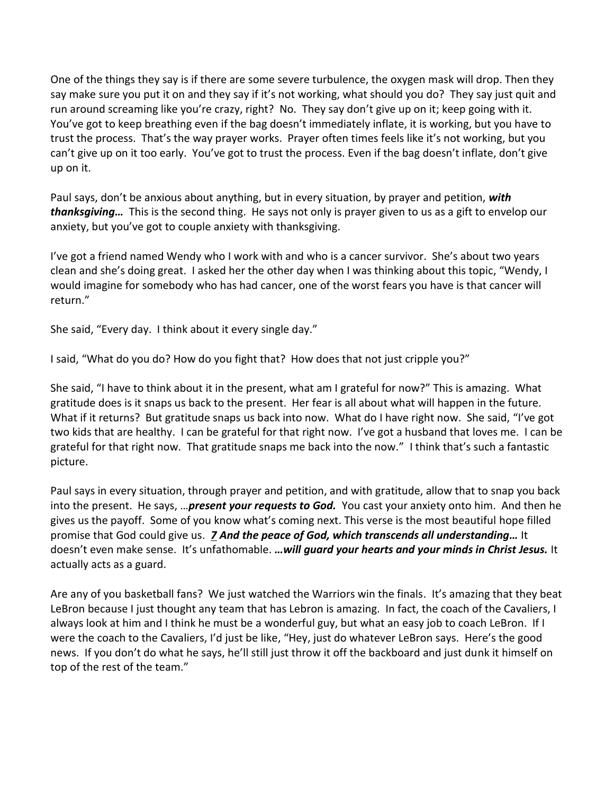One of the things they say is if there are some severe turbulence, the oxygen mask will drop. Then they say make sure you put it on and they say if it's not working, what should you do? They say just quit and run around screaming like you're crazy, right? No. They say don't give up on it; keep going with it. You've got to keep breathing even if the bag doesn't immediately inflate, it is working, but you have to trust the process. That's the way prayer works. Prayer often times feels like it's not working, but you can't give up on it too early. You've got to trust the process. Even if the bag doesn't inflate, don't give up on it.

Paul says, don't be anxious about anything, but in every situation, by prayer and petition, *with thanksgiving…* This is the second thing. He says not only is prayer given to us as a gift to envelop our anxiety, but you've got to couple anxiety with thanksgiving.

I've got a friend named Wendy who I work with and who is a cancer survivor. She's about two years clean and she's doing great. I asked her the other day when I was thinking about this topic, "Wendy, I would imagine for somebody who has had cancer, one of the worst fears you have is that cancer will return."

She said, "Every day. I think about it every single day."

I said, "What do you do? How do you fight that? How does that not just cripple you?"

She said, "I have to think about it in the present, what am I grateful for now?" This is amazing. What gratitude does is it snaps us back to the present. Her fear is all about what will happen in the future. What if it returns? But gratitude snaps us back into now. What do I have right now. She said, "I've got two kids that are healthy. I can be grateful for that right now. I've got a husband that loves me. I can be grateful for that right now. That gratitude snaps me back into the now." I think that's such a fantastic picture.

Paul says in every situation, through prayer and petition, and with gratitude, allow that to snap you back into the present. He says, …*present your requests to God.* You cast your anxiety onto him. And then he gives us the payoff. Some of you know what's coming next. This verse is the most beautiful hope filled promise that God could give us. *[7](https://www.studylight.org/desk/?q=php%204:7&t1=en_niv&sr=1) And the peace of God, which transcends all understanding…* It doesn't even make sense. It's unfathomable. *…will guard your hearts and your minds in Christ Jesus.* It actually acts as a guard.

Are any of you basketball fans? We just watched the Warriors win the finals. It's amazing that they beat LeBron because I just thought any team that has Lebron is amazing. In fact, the coach of the Cavaliers, I always look at him and I think he must be a wonderful guy, but what an easy job to coach LeBron. If I were the coach to the Cavaliers, I'd just be like, "Hey, just do whatever LeBron says. Here's the good news. If you don't do what he says, he'll still just throw it off the backboard and just dunk it himself on top of the rest of the team."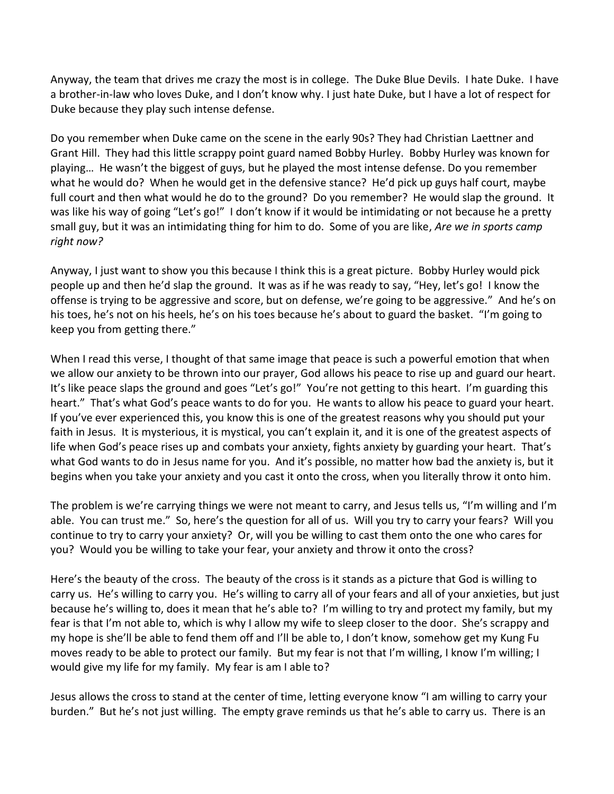Anyway, the team that drives me crazy the most is in college. The Duke Blue Devils. I hate Duke. I have a brother-in-law who loves Duke, and I don't know why. I just hate Duke, but I have a lot of respect for Duke because they play such intense defense.

Do you remember when Duke came on the scene in the early 90s? They had Christian Laettner and Grant Hill. They had this little scrappy point guard named Bobby Hurley. Bobby Hurley was known for playing… He wasn't the biggest of guys, but he played the most intense defense. Do you remember what he would do? When he would get in the defensive stance? He'd pick up guys half court, maybe full court and then what would he do to the ground? Do you remember? He would slap the ground. It was like his way of going "Let's go!" I don't know if it would be intimidating or not because he a pretty small guy, but it was an intimidating thing for him to do. Some of you are like, *Are we in sports camp right now?*

Anyway, I just want to show you this because I think this is a great picture. Bobby Hurley would pick people up and then he'd slap the ground. It was as if he was ready to say, "Hey, let's go! I know the offense is trying to be aggressive and score, but on defense, we're going to be aggressive." And he's on his toes, he's not on his heels, he's on his toes because he's about to guard the basket. "I'm going to keep you from getting there."

When I read this verse, I thought of that same image that peace is such a powerful emotion that when we allow our anxiety to be thrown into our prayer, God allows his peace to rise up and guard our heart. It's like peace slaps the ground and goes "Let's go!" You're not getting to this heart. I'm guarding this heart." That's what God's peace wants to do for you. He wants to allow his peace to guard your heart. If you've ever experienced this, you know this is one of the greatest reasons why you should put your faith in Jesus. It is mysterious, it is mystical, you can't explain it, and it is one of the greatest aspects of life when God's peace rises up and combats your anxiety, fights anxiety by guarding your heart. That's what God wants to do in Jesus name for you. And it's possible, no matter how bad the anxiety is, but it begins when you take your anxiety and you cast it onto the cross, when you literally throw it onto him.

The problem is we're carrying things we were not meant to carry, and Jesus tells us, "I'm willing and I'm able. You can trust me." So, here's the question for all of us. Will you try to carry your fears? Will you continue to try to carry your anxiety? Or, will you be willing to cast them onto the one who cares for you? Would you be willing to take your fear, your anxiety and throw it onto the cross?

Here's the beauty of the cross. The beauty of the cross is it stands as a picture that God is willing to carry us. He's willing to carry you. He's willing to carry all of your fears and all of your anxieties, but just because he's willing to, does it mean that he's able to? I'm willing to try and protect my family, but my fear is that I'm not able to, which is why I allow my wife to sleep closer to the door. She's scrappy and my hope is she'll be able to fend them off and I'll be able to, I don't know, somehow get my Kung Fu moves ready to be able to protect our family. But my fear is not that I'm willing, I know I'm willing; I would give my life for my family. My fear is am I able to?

Jesus allows the cross to stand at the center of time, letting everyone know "I am willing to carry your burden." But he's not just willing. The empty grave reminds us that he's able to carry us. There is an